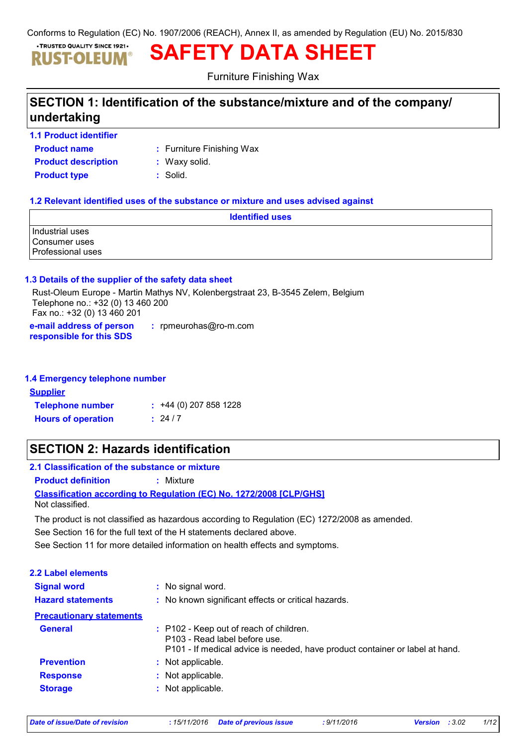# **SAFETY DATA SHEET**

Furniture Finishing Wax

# **SECTION 1: Identification of the substance/mixture and of the company/ undertaking**

**1.1 Product identifier**

. TRUSTED QUALITY SINCE 1921. IST-OLEUM

**Product name**

Furniture Finishing Wax **:**

**Product type :** Solid. **Product description :** Waxy solid.

### **1.2 Relevant identified uses of the substance or mixture and uses advised against**

|                                                       | <b>Identified uses</b> |
|-------------------------------------------------------|------------------------|
| Industrial uses<br>Consumer uses<br>Professional uses |                        |

### **1.3 Details of the supplier of the safety data sheet**

Rust-Oleum Europe - Martin Mathys NV, Kolenbergstraat 23, B-3545 Zelem, Belgium Telephone no.: +32 (0) 13 460 200 Fax no.: +32 (0) 13 460 201

**e-mail address of person responsible for this SDS :** rpmeurohas@ro-m.com

#### **1.4 Emergency telephone number**

#### **Supplier**

**Telephone number : Hours of operation :**  $: 24/7$  $\div$  +44 (0) 207 858 1228

### **SECTION 2: Hazards identification**

### **2.1 Classification of the substance or mixture**

**Product definition :** Mixture

### **Classification according to Regulation (EC) No. 1272/2008 [CLP/GHS]**

Not classified.

See Section 11 for more detailed information on health effects and symptoms. See Section 16 for the full text of the H statements declared above. The product is not classified as hazardous according to Regulation (EC) 1272/2008 as amended.

| <b>2.2 Label elements</b>       |                                                                                                                                                          |
|---------------------------------|----------------------------------------------------------------------------------------------------------------------------------------------------------|
| <b>Signal word</b>              | : No signal word.                                                                                                                                        |
| <b>Hazard statements</b>        | : No known significant effects or critical hazards.                                                                                                      |
| <b>Precautionary statements</b> |                                                                                                                                                          |
| <b>General</b>                  | : P102 - Keep out of reach of children.<br>P103 - Read label before use.<br>P101 - If medical advice is needed, have product container or label at hand. |
| <b>Prevention</b>               | : Not applicable.                                                                                                                                        |
| <b>Response</b>                 | : Not applicable.                                                                                                                                        |
| <b>Storage</b>                  | Not applicable.                                                                                                                                          |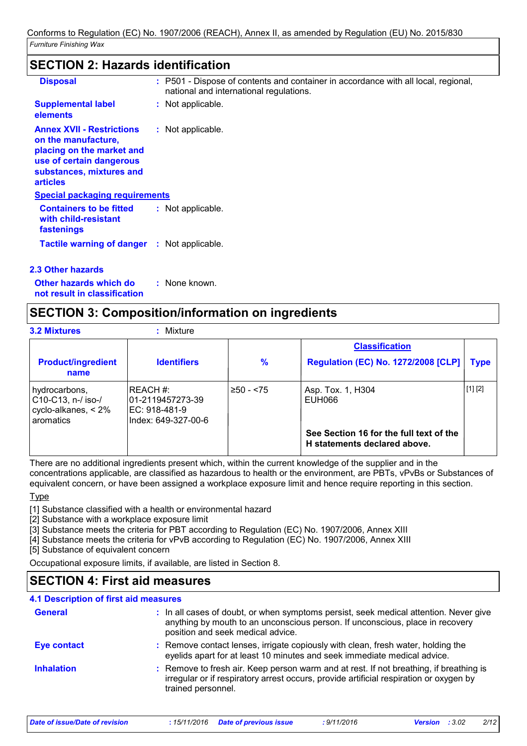### **SECTION 2: Hazards identification**

| <b>Disposal</b>                                                                                                                                          | : P501 - Dispose of contents and container in accordance with all local, regional,<br>national and international regulations. |
|----------------------------------------------------------------------------------------------------------------------------------------------------------|-------------------------------------------------------------------------------------------------------------------------------|
| <b>Supplemental label</b><br>elements                                                                                                                    | : Not applicable.                                                                                                             |
| <b>Annex XVII - Restrictions</b><br>on the manufacture,<br>placing on the market and<br>use of certain dangerous<br>substances, mixtures and<br>articles | : Not applicable.                                                                                                             |
| <b>Special packaging requirements</b>                                                                                                                    |                                                                                                                               |
| <b>Containers to be fitted</b><br>with child-resistant<br>fastenings                                                                                     | : Not applicable.                                                                                                             |
| <b>Tactile warning of danger : Not applicable.</b>                                                                                                       |                                                                                                                               |
| 2.3 Other hazards                                                                                                                                        |                                                                                                                               |

**Other hazards which do : not result in classification** : None known.

### **SECTION 3: Composition/information on ingredients**

| <b>3.2 Mixtures</b>                                                      | Mixture                                                              |              |                                                                         |             |
|--------------------------------------------------------------------------|----------------------------------------------------------------------|--------------|-------------------------------------------------------------------------|-------------|
| <b>Product/ingredient</b><br>name                                        | <b>Identifiers</b>                                                   | %            | <b>Classification</b><br><b>Regulation (EC) No. 1272/2008 [CLP]</b>     | <b>Type</b> |
| hydrocarbons,<br>C10-C13, n-/ iso-/<br>$cyclo-alkanes, 2\%$<br>aromatics | REACH#:<br>01-2119457273-39<br>IEC: 918-481-9<br>Index: 649-327-00-6 | $≥50 - < 75$ | Asp. Tox. 1, H304<br>EUH066                                             | [1] [2]     |
|                                                                          |                                                                      |              | See Section 16 for the full text of the<br>H statements declared above. |             |

There are no additional ingredients present which, within the current knowledge of the supplier and in the concentrations applicable, are classified as hazardous to health or the environment, are PBTs, vPvBs or Substances of equivalent concern, or have been assigned a workplace exposure limit and hence require reporting in this section.

**Type** 

[1] Substance classified with a health or environmental hazard

[2] Substance with a workplace exposure limit

[3] Substance meets the criteria for PBT according to Regulation (EC) No. 1907/2006, Annex XIII

[4] Substance meets the criteria for vPvB according to Regulation (EC) No. 1907/2006, Annex XIII

[5] Substance of equivalent concern

Occupational exposure limits, if available, are listed in Section 8.

# **SECTION 4: First aid measures**

#### **4.1 Description of first aid measures**

| <b>General</b>     | : In all cases of doubt, or when symptoms persist, seek medical attention. Never give<br>anything by mouth to an unconscious person. If unconscious, place in recovery<br>position and seek medical advice. |
|--------------------|-------------------------------------------------------------------------------------------------------------------------------------------------------------------------------------------------------------|
| <b>Eye contact</b> | : Remove contact lenses, irrigate copiously with clean, fresh water, holding the<br>eyelids apart for at least 10 minutes and seek immediate medical advice.                                                |
| <b>Inhalation</b>  | : Remove to fresh air. Keep person warm and at rest. If not breathing, if breathing is<br>irregular or if respiratory arrest occurs, provide artificial respiration or oxygen by<br>trained personnel.      |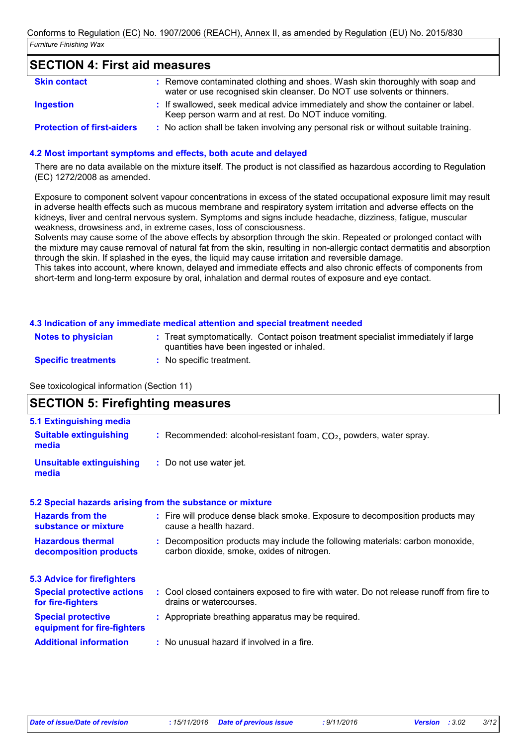### **SECTION 4: First aid measures**

| <b>Skin contact</b>               | : Remove contaminated clothing and shoes. Wash skin thoroughly with soap and<br>water or use recognised skin cleanser. Do NOT use solvents or thinners. |
|-----------------------------------|---------------------------------------------------------------------------------------------------------------------------------------------------------|
| Ingestion                         | : If swallowed, seek medical advice immediately and show the container or label.<br>Keep person warm and at rest. Do NOT induce vomiting.               |
| <b>Protection of first-aiders</b> | : No action shall be taken involving any personal risk or without suitable training.                                                                    |

#### **4.2 Most important symptoms and effects, both acute and delayed**

There are no data available on the mixture itself. The product is not classified as hazardous according to Regulation (EC) 1272/2008 as amended.

Exposure to component solvent vapour concentrations in excess of the stated occupational exposure limit may result in adverse health effects such as mucous membrane and respiratory system irritation and adverse effects on the kidneys, liver and central nervous system. Symptoms and signs include headache, dizziness, fatigue, muscular weakness, drowsiness and, in extreme cases, loss of consciousness.

Solvents may cause some of the above effects by absorption through the skin. Repeated or prolonged contact with the mixture may cause removal of natural fat from the skin, resulting in non-allergic contact dermatitis and absorption through the skin. If splashed in the eyes, the liquid may cause irritation and reversible damage.

This takes into account, where known, delayed and immediate effects and also chronic effects of components from short-term and long-term exposure by oral, inhalation and dermal routes of exposure and eye contact.

#### **4.3 Indication of any immediate medical attention and special treatment needed**

| <b>Notes to physician</b> |                                           | : Treat symptomatically. Contact poison treatment specialist immediately if large |
|---------------------------|-------------------------------------------|-----------------------------------------------------------------------------------|
|                           | quantities have been ingested or inhaled. |                                                                                   |

- **Specific treatments**
- **:** No specific treatment.

See toxicological information (Section 11)

### **SECTION 5: Firefighting measures**

| <b>5.1 Extinguishing media</b>                           |                                                                                                                              |
|----------------------------------------------------------|------------------------------------------------------------------------------------------------------------------------------|
| <b>Suitable extinguishing</b><br>media                   | : Recommended: alcohol-resistant foam, $CO2$ , powders, water spray.                                                         |
| <b>Unsuitable extinguishing</b><br>media                 | : Do not use water jet.                                                                                                      |
|                                                          | 5.2 Special hazards arising from the substance or mixture                                                                    |
| <b>Hazards from the</b><br>substance or mixture          | : Fire will produce dense black smoke. Exposure to decomposition products may<br>cause a health hazard.                      |
| <b>Hazardous thermal</b><br>decomposition products       | : Decomposition products may include the following materials: carbon monoxide,<br>carbon dioxide, smoke, oxides of nitrogen. |
| <b>5.3 Advice for firefighters</b>                       |                                                                                                                              |
| <b>Special protective actions</b><br>for fire-fighters   | : Cool closed containers exposed to fire with water. Do not release runoff from fire to<br>drains or watercourses.           |
| <b>Special protective</b><br>equipment for fire-fighters | : Appropriate breathing apparatus may be required.                                                                           |
| <b>Additional information</b>                            | $\pm$ No unusual hazard if involved in a fire.                                                                               |
|                                                          |                                                                                                                              |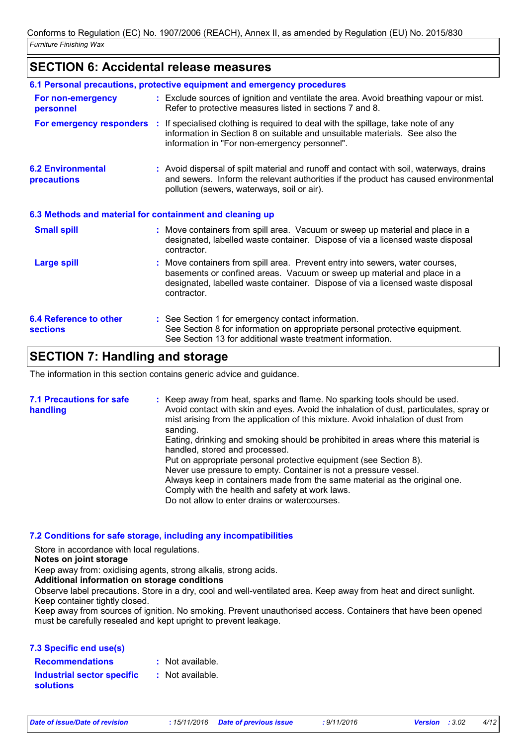### **SECTION 6: Accidental release measures**

|                                                          | 6.1 Personal precautions, protective equipment and emergency procedures                                                                                                                                                                                  |
|----------------------------------------------------------|----------------------------------------------------------------------------------------------------------------------------------------------------------------------------------------------------------------------------------------------------------|
| For non-emergency<br>personnel                           | : Exclude sources of ignition and ventilate the area. Avoid breathing vapour or mist.<br>Refer to protective measures listed in sections 7 and 8.                                                                                                        |
|                                                          | For emergency responders : If specialised clothing is required to deal with the spillage, take note of any<br>information in Section 8 on suitable and unsuitable materials. See also the<br>information in "For non-emergency personnel".               |
| <b>6.2 Environmental</b><br><b>precautions</b>           | : Avoid dispersal of spilt material and runoff and contact with soil, waterways, drains<br>and sewers. Inform the relevant authorities if the product has caused environmental<br>pollution (sewers, waterways, soil or air).                            |
| 6.3 Methods and material for containment and cleaning up |                                                                                                                                                                                                                                                          |
| <b>Small spill</b>                                       | : Move containers from spill area. Vacuum or sweep up material and place in a<br>designated, labelled waste container. Dispose of via a licensed waste disposal<br>contractor.                                                                           |
| <b>Large spill</b>                                       | : Move containers from spill area. Prevent entry into sewers, water courses,<br>basements or confined areas. Vacuum or sweep up material and place in a<br>designated, labelled waste container. Dispose of via a licensed waste disposal<br>contractor. |
| <b>6.4 Reference to other</b><br><b>sections</b>         | : See Section 1 for emergency contact information.<br>See Section 8 for information on appropriate personal protective equipment.<br>See Section 13 for additional waste treatment information.                                                          |

# **SECTION 7: Handling and storage**

The information in this section contains generic advice and guidance.

**:** Keep away from heat, sparks and flame. No sparking tools should be used. Avoid contact with skin and eyes. Avoid the inhalation of dust, particulates, spray or mist arising from the application of this mixture. Avoid inhalation of dust from sanding. Eating, drinking and smoking should be prohibited in areas where this material is handled, stored and processed. Put on appropriate personal protective equipment (see Section 8). Never use pressure to empty. Container is not a pressure vessel. Always keep in containers made from the same material as the original one. Comply with the health and safety at work laws. Do not allow to enter drains or watercourses. **7.1 Precautions for safe handling**

**7.2 Conditions for safe storage, including any incompatibilities**

Store in accordance with local regulations.

**Notes on joint storage**

Keep away from: oxidising agents, strong alkalis, strong acids.

#### **Additional information on storage conditions**

Observe label precautions. Store in a dry, cool and well-ventilated area. Keep away from heat and direct sunlight. Keep container tightly closed.

Keep away from sources of ignition. No smoking. Prevent unauthorised access. Containers that have been opened must be carefully resealed and kept upright to prevent leakage.

### **7.3 Specific end use(s)**

**Recommendations :**

: Not available.

**Industrial sector specific : solutions** : Not available.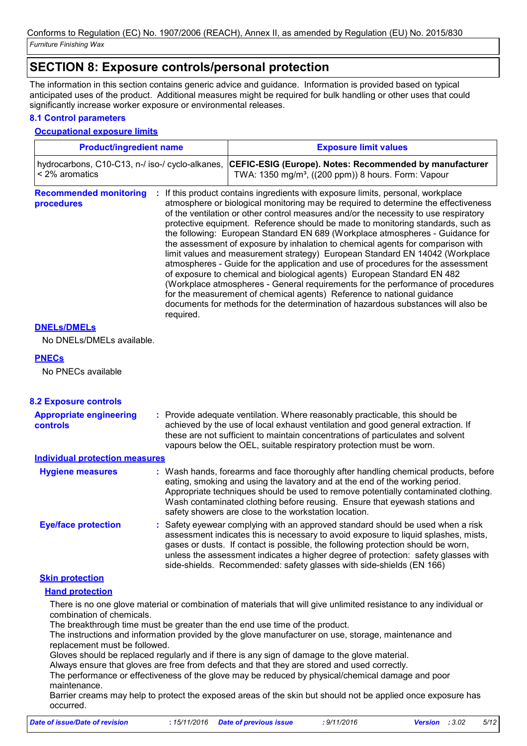### **SECTION 8: Exposure controls/personal protection**

The information in this section contains generic advice and guidance. Information is provided based on typical anticipated uses of the product. Additional measures might be required for bulk handling or other uses that could significantly increase worker exposure or environmental releases.

### **8.1 Control parameters**

### **Occupational exposure limits**

| <b>Product/ingredient name</b>                                             |           | <b>Exposure limit values</b>                                                                                                                                                                                                                                                                                                                                                                                                                                                                                                                                                                                                                                                                                                                                                                                                                                                                                                                                                                                        |
|----------------------------------------------------------------------------|-----------|---------------------------------------------------------------------------------------------------------------------------------------------------------------------------------------------------------------------------------------------------------------------------------------------------------------------------------------------------------------------------------------------------------------------------------------------------------------------------------------------------------------------------------------------------------------------------------------------------------------------------------------------------------------------------------------------------------------------------------------------------------------------------------------------------------------------------------------------------------------------------------------------------------------------------------------------------------------------------------------------------------------------|
| hydrocarbons, C10-C13, n-/ iso-/ cyclo-alkanes,<br>< 2% aromatics          |           | CEFIC-ESIG (Europe). Notes: Recommended by manufacturer<br>TWA: 1350 mg/m <sup>3</sup> , ((200 ppm)) 8 hours. Form: Vapour                                                                                                                                                                                                                                                                                                                                                                                                                                                                                                                                                                                                                                                                                                                                                                                                                                                                                          |
| <b>Recommended monitoring</b><br>procedures                                | required. | If this product contains ingredients with exposure limits, personal, workplace<br>atmosphere or biological monitoring may be required to determine the effectiveness<br>of the ventilation or other control measures and/or the necessity to use respiratory<br>protective equipment. Reference should be made to monitoring standards, such as<br>the following: European Standard EN 689 (Workplace atmospheres - Guidance for<br>the assessment of exposure by inhalation to chemical agents for comparison with<br>limit values and measurement strategy) European Standard EN 14042 (Workplace<br>atmospheres - Guide for the application and use of procedures for the assessment<br>of exposure to chemical and biological agents) European Standard EN 482<br>(Workplace atmospheres - General requirements for the performance of procedures<br>for the measurement of chemical agents) Reference to national guidance<br>documents for methods for the determination of hazardous substances will also be |
| <b>DNELs/DMELs</b>                                                         |           |                                                                                                                                                                                                                                                                                                                                                                                                                                                                                                                                                                                                                                                                                                                                                                                                                                                                                                                                                                                                                     |
| No DNELs/DMELs available.                                                  |           |                                                                                                                                                                                                                                                                                                                                                                                                                                                                                                                                                                                                                                                                                                                                                                                                                                                                                                                                                                                                                     |
| <b>PNECs</b>                                                               |           |                                                                                                                                                                                                                                                                                                                                                                                                                                                                                                                                                                                                                                                                                                                                                                                                                                                                                                                                                                                                                     |
| No PNECs available                                                         |           |                                                                                                                                                                                                                                                                                                                                                                                                                                                                                                                                                                                                                                                                                                                                                                                                                                                                                                                                                                                                                     |
| <b>8.2 Exposure controls</b>                                               |           |                                                                                                                                                                                                                                                                                                                                                                                                                                                                                                                                                                                                                                                                                                                                                                                                                                                                                                                                                                                                                     |
| <b>Appropriate engineering</b><br>controls                                 |           | : Provide adequate ventilation. Where reasonably practicable, this should be<br>achieved by the use of local exhaust ventilation and good general extraction. If<br>these are not sufficient to maintain concentrations of particulates and solvent<br>vapours below the OEL, suitable respiratory protection must be worn.                                                                                                                                                                                                                                                                                                                                                                                                                                                                                                                                                                                                                                                                                         |
| <b>Individual protection measures</b>                                      |           |                                                                                                                                                                                                                                                                                                                                                                                                                                                                                                                                                                                                                                                                                                                                                                                                                                                                                                                                                                                                                     |
| <b>Hygiene measures</b>                                                    |           | : Wash hands, forearms and face thoroughly after handling chemical products, before<br>eating, smoking and using the lavatory and at the end of the working period.<br>Appropriate techniques should be used to remove potentially contaminated clothing.<br>Wash contaminated clothing before reusing. Ensure that eyewash stations and<br>safety showers are close to the workstation location.                                                                                                                                                                                                                                                                                                                                                                                                                                                                                                                                                                                                                   |
| <b>Eye/face protection</b>                                                 |           | : Safety eyewear complying with an approved standard should be used when a risk<br>assessment indicates this is necessary to avoid exposure to liquid splashes, mists<br>gases or dusts. If contact is possible, the following protection should be worn,<br>unless the assessment indicates a higher degree of protection: safety glasses with<br>side-shields. Recommended: safety glasses with side-shields (EN 166)                                                                                                                                                                                                                                                                                                                                                                                                                                                                                                                                                                                             |
| <b>Skin protection</b>                                                     |           |                                                                                                                                                                                                                                                                                                                                                                                                                                                                                                                                                                                                                                                                                                                                                                                                                                                                                                                                                                                                                     |
| <b>Hand protection</b>                                                     |           |                                                                                                                                                                                                                                                                                                                                                                                                                                                                                                                                                                                                                                                                                                                                                                                                                                                                                                                                                                                                                     |
| combination of chemicals.<br>replacement must be followed.<br>maintenance. |           | There is no one glove material or combination of materials that will give unlimited resistance to any individual or<br>The breakthrough time must be greater than the end use time of the product.<br>The instructions and information provided by the glove manufacturer on use, storage, maintenance and<br>Gloves should be replaced regularly and if there is any sign of damage to the glove material.<br>Always ensure that gloves are free from defects and that they are stored and used correctly.<br>The performance or effectiveness of the glove may be reduced by physical/chemical damage and poor                                                                                                                                                                                                                                                                                                                                                                                                    |

Barrier creams may help to protect the exposed areas of the skin but should not be applied once exposure has occurred.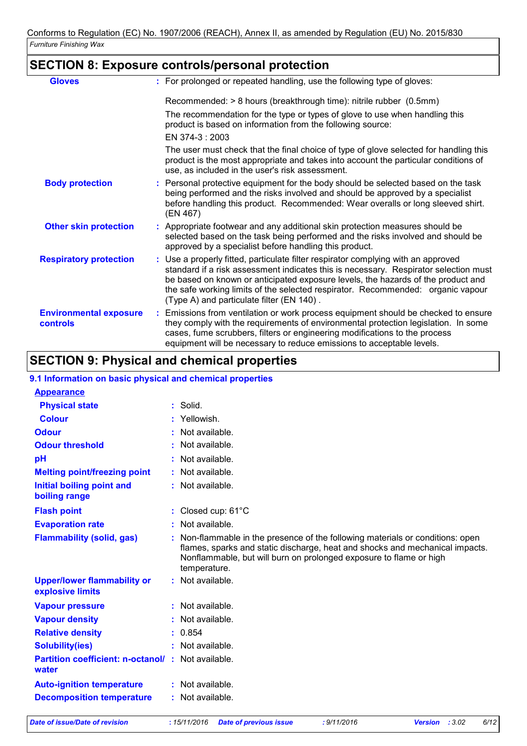# **SECTION 8: Exposure controls/personal protection**

| <b>Gloves</b>                             | : For prolonged or repeated handling, use the following type of gloves:                                                                                                                                                                                                                                                                                                                       |
|-------------------------------------------|-----------------------------------------------------------------------------------------------------------------------------------------------------------------------------------------------------------------------------------------------------------------------------------------------------------------------------------------------------------------------------------------------|
|                                           | Recommended: > 8 hours (breakthrough time): nitrile rubber (0.5mm)                                                                                                                                                                                                                                                                                                                            |
|                                           | The recommendation for the type or types of glove to use when handling this<br>product is based on information from the following source:                                                                                                                                                                                                                                                     |
|                                           | EN 374-3 : 2003                                                                                                                                                                                                                                                                                                                                                                               |
|                                           | The user must check that the final choice of type of glove selected for handling this<br>product is the most appropriate and takes into account the particular conditions of<br>use, as included in the user's risk assessment.                                                                                                                                                               |
| <b>Body protection</b>                    | : Personal protective equipment for the body should be selected based on the task<br>being performed and the risks involved and should be approved by a specialist<br>before handling this product. Recommended: Wear overalls or long sleeved shirt.<br>(EN 467)                                                                                                                             |
| <b>Other skin protection</b>              | : Appropriate footwear and any additional skin protection measures should be<br>selected based on the task being performed and the risks involved and should be<br>approved by a specialist before handling this product.                                                                                                                                                                     |
| <b>Respiratory protection</b>             | : Use a properly fitted, particulate filter respirator complying with an approved<br>standard if a risk assessment indicates this is necessary. Respirator selection must<br>be based on known or anticipated exposure levels, the hazards of the product and<br>the safe working limits of the selected respirator. Recommended: organic vapour<br>(Type A) and particulate filter (EN 140). |
| <b>Environmental exposure</b><br>controls | : Emissions from ventilation or work process equipment should be checked to ensure<br>they comply with the requirements of environmental protection legislation. In some<br>cases, fume scrubbers, filters or engineering modifications to the process<br>equipment will be necessary to reduce emissions to acceptable levels.                                                               |

# **SECTION 9: Physical and chemical properties**

| 9.1 Information on basic physical and chemical properties         |                                                                                                                                                                                                                                                    |
|-------------------------------------------------------------------|----------------------------------------------------------------------------------------------------------------------------------------------------------------------------------------------------------------------------------------------------|
| <b>Appearance</b>                                                 |                                                                                                                                                                                                                                                    |
| <b>Physical state</b>                                             | $:$ Solid.                                                                                                                                                                                                                                         |
| <b>Colour</b>                                                     | : Yellowish.                                                                                                                                                                                                                                       |
| <b>Odour</b>                                                      | : Not available.                                                                                                                                                                                                                                   |
| <b>Odour threshold</b>                                            | : Not available.                                                                                                                                                                                                                                   |
| pH                                                                | : Not available.                                                                                                                                                                                                                                   |
| <b>Melting point/freezing point</b>                               | : Not available.                                                                                                                                                                                                                                   |
| Initial boiling point and<br>boiling range                        | : Not available.                                                                                                                                                                                                                                   |
| <b>Flash point</b>                                                | : Closed cup: $61^{\circ}$ C                                                                                                                                                                                                                       |
| <b>Evaporation rate</b>                                           | : Not available.                                                                                                                                                                                                                                   |
| <b>Flammability (solid, gas)</b>                                  | Non-flammable in the presence of the following materials or conditions: open<br>flames, sparks and static discharge, heat and shocks and mechanical impacts.<br>Nonflammable, but will burn on prolonged exposure to flame or high<br>temperature. |
| <b>Upper/lower flammability or</b><br>explosive limits            | : Not available.                                                                                                                                                                                                                                   |
| <b>Vapour pressure</b>                                            | : Not available.                                                                                                                                                                                                                                   |
| <b>Vapour density</b>                                             | : Not available.                                                                                                                                                                                                                                   |
| <b>Relative density</b>                                           | : 0.854                                                                                                                                                                                                                                            |
| <b>Solubility(ies)</b>                                            | : Not available.                                                                                                                                                                                                                                   |
| <b>Partition coefficient: n-octanol/: Not available.</b><br>water |                                                                                                                                                                                                                                                    |
| <b>Auto-ignition temperature</b>                                  | : Not available.                                                                                                                                                                                                                                   |
| <b>Decomposition temperature</b>                                  | : Not available.                                                                                                                                                                                                                                   |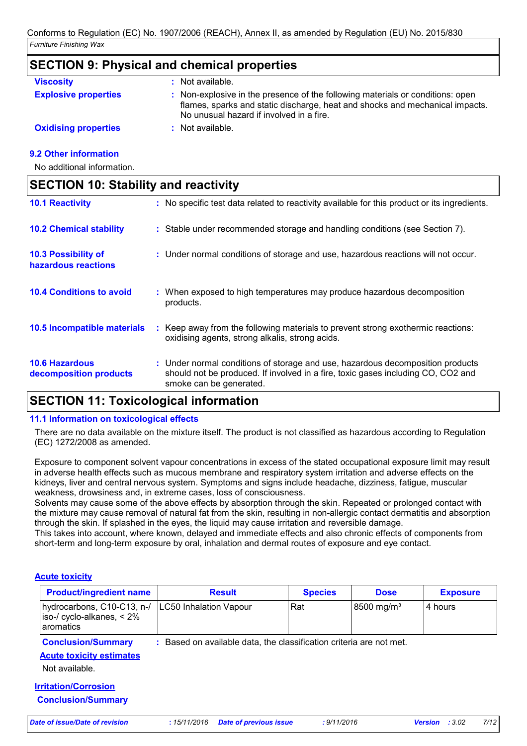| <b>Viscosity</b>            | Not available.                                                                                                                                                                                             |
|-----------------------------|------------------------------------------------------------------------------------------------------------------------------------------------------------------------------------------------------------|
| <b>Explosive properties</b> | : Non-explosive in the presence of the following materials or conditions: open<br>flames, sparks and static discharge, heat and shocks and mechanical impacts.<br>No unusual hazard if involved in a fire. |
| <b>Oxidising properties</b> | Not available.                                                                                                                                                                                             |

#### **9.2 Other information**

No additional information.

| <b>SECTION 10: Stability and reactivity</b>       |           |                                                                                                                                                                                               |
|---------------------------------------------------|-----------|-----------------------------------------------------------------------------------------------------------------------------------------------------------------------------------------------|
| <b>10.1 Reactivity</b>                            |           | : No specific test data related to reactivity available for this product or its ingredients.                                                                                                  |
| <b>10.2 Chemical stability</b>                    |           | : Stable under recommended storage and handling conditions (see Section 7).                                                                                                                   |
| <b>10.3 Possibility of</b><br>hazardous reactions |           | : Under normal conditions of storage and use, hazardous reactions will not occur.                                                                                                             |
| <b>10.4 Conditions to avoid</b>                   | products. | : When exposed to high temperatures may produce hazardous decomposition                                                                                                                       |
| 10.5 Incompatible materials                       |           | : Keep away from the following materials to prevent strong exothermic reactions:<br>oxidising agents, strong alkalis, strong acids.                                                           |
| <b>10.6 Hazardous</b><br>decomposition products   |           | : Under normal conditions of storage and use, hazardous decomposition products<br>should not be produced. If involved in a fire, toxic gases including CO, CO2 and<br>smoke can be generated. |
|                                                   |           |                                                                                                                                                                                               |

### **SECTION 11: Toxicological information**

### **11.1 Information on toxicological effects**

There are no data available on the mixture itself. The product is not classified as hazardous according to Regulation (EC) 1272/2008 as amended.

Exposure to component solvent vapour concentrations in excess of the stated occupational exposure limit may result in adverse health effects such as mucous membrane and respiratory system irritation and adverse effects on the kidneys, liver and central nervous system. Symptoms and signs include headache, dizziness, fatigue, muscular weakness, drowsiness and, in extreme cases, loss of consciousness.

Solvents may cause some of the above effects by absorption through the skin. Repeated or prolonged contact with the mixture may cause removal of natural fat from the skin, resulting in non-allergic contact dermatitis and absorption through the skin. If splashed in the eyes, the liquid may cause irritation and reversible damage.

This takes into account, where known, delayed and immediate effects and also chronic effects of components from short-term and long-term exposure by oral, inhalation and dermal routes of exposure and eye contact.

### **Acute toxicity**

| <b>Product/ingredient name</b>                                                 | <b>Result</b>                                                       | <b>Species</b> | <b>Dose</b>            | <b>Exposure</b> |
|--------------------------------------------------------------------------------|---------------------------------------------------------------------|----------------|------------------------|-----------------|
| hydrocarbons, C10-C13, n-/<br>iso-/ cyclo-alkanes, $< 2\%$<br>aromatics        | <b>LC50 Inhalation Vapour</b>                                       | Rat            | 8500 mg/m <sup>3</sup> | l 4 hours       |
| <b>Conclusion/Summary</b><br><b>Acute toxicity estimates</b><br>Not available. | : Based on available data, the classification criteria are not met. |                |                        |                 |
| <b>Irritation/Corrosion</b><br><b>Conclusion/Summary</b>                       |                                                                     |                |                        |                 |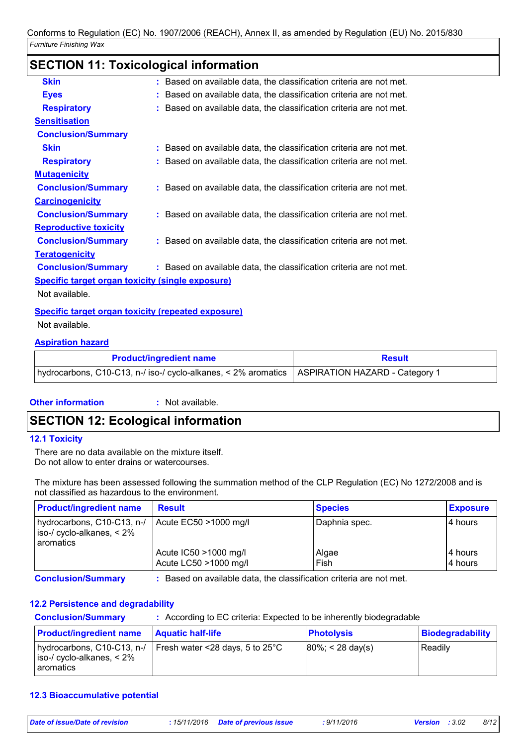### **SECTION 11: Toxicological information**

| <b>Skin</b>                                             | : Based on available data, the classification criteria are not met. |
|---------------------------------------------------------|---------------------------------------------------------------------|
| <b>Eyes</b>                                             | : Based on available data, the classification criteria are not met. |
| <b>Respiratory</b>                                      | : Based on available data, the classification criteria are not met. |
| <b>Sensitisation</b>                                    |                                                                     |
| <b>Conclusion/Summary</b>                               |                                                                     |
| <b>Skin</b>                                             | : Based on available data, the classification criteria are not met. |
| <b>Respiratory</b>                                      | : Based on available data, the classification criteria are not met. |
| <b>Mutagenicity</b>                                     |                                                                     |
| <b>Conclusion/Summary</b>                               | : Based on available data, the classification criteria are not met. |
| <b>Carcinogenicity</b>                                  |                                                                     |
| <b>Conclusion/Summary</b>                               | : Based on available data, the classification criteria are not met. |
| <b>Reproductive toxicity</b>                            |                                                                     |
| <b>Conclusion/Summary</b>                               | : Based on available data, the classification criteria are not met. |
| <b>Teratogenicity</b>                                   |                                                                     |
| <b>Conclusion/Summary</b>                               | : Based on available data, the classification criteria are not met. |
| <b>Specific target organ toxicity (single exposure)</b> |                                                                     |
| Not available.                                          |                                                                     |

**Specific target organ toxicity (repeated exposure)**

Not available.

### **Aspiration hazard**

| <b>Product/ingredient name</b>                                                                  | Result |
|-------------------------------------------------------------------------------------------------|--------|
| hydrocarbons, C10-C13, n-/ iso-/ cyclo-alkanes, < 2% aromatics   ASPIRATION HAZARD - Category 1 |        |

**Other information :**

: Not available.

# **SECTION 12: Ecological information**

### **12.1 Toxicity**

There are no data available on the mixture itself. Do not allow to enter drains or watercourses.

The mixture has been assessed following the summation method of the CLP Regulation (EC) No 1272/2008 and is not classified as hazardous to the environment.

| <b>Product/ingredient name</b>                                                            | <b>Result</b>                                  | <b>Species</b> | <b>Exposure</b>    |
|-------------------------------------------------------------------------------------------|------------------------------------------------|----------------|--------------------|
| hydrocarbons, C10-C13, n-/<br>$\vert$ iso-/ cyclo-alkanes, $\leq 2\%$<br><b>aromatics</b> | Acute EC50 >1000 mg/l                          | Daphnia spec.  | 4 hours            |
|                                                                                           | Acute IC50 >1000 mg/l<br>Acute LC50 >1000 mg/l | Algae<br>Fish  | 4 hours<br>4 hours |

**Conclusion/Summary :** Based on available data, the classification criteria are not met.

### **12.2 Persistence and degradability**

|  | <b>Conclusion/Summary</b> | : According to EC criteria: Expected to be inherently biodegradable |  |
|--|---------------------------|---------------------------------------------------------------------|--|
|--|---------------------------|---------------------------------------------------------------------|--|

| <b>Product/ingredient name</b>                                                 | <b>Aquatic half-life</b>        | <b>Photolysis</b>    | Biodegradability |
|--------------------------------------------------------------------------------|---------------------------------|----------------------|------------------|
| hydrocarbons, C10-C13, n-/<br>$ $ iso-/ cyclo-alkanes, $\leq 2\%$<br>aromatics | Fresh water <28 days, 5 to 25°C | $ 80\%  < 28$ day(s) | Readily          |

### **12.3 Bioaccumulative potential**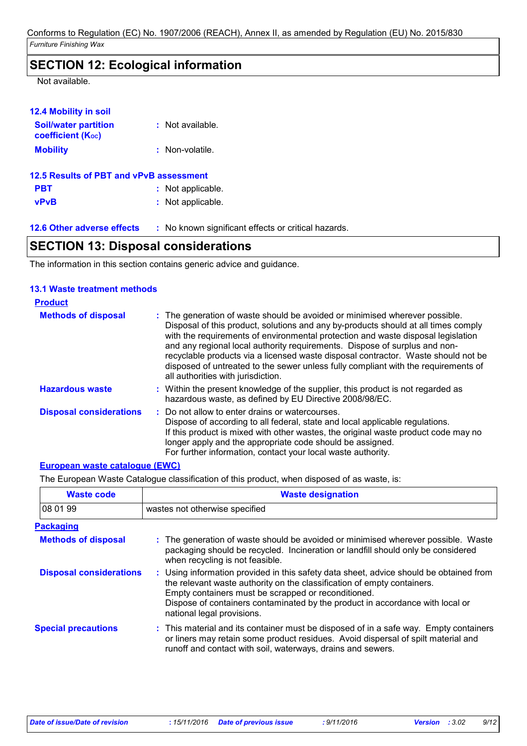## **SECTION 12: Ecological information**

Not available.

| 12.4 Mobility in soil                                   |                   |  |
|---------------------------------------------------------|-------------------|--|
| <b>Soil/water partition</b><br><b>coefficient (Koc)</b> | : Not available.  |  |
| <b>Mobility</b>                                         | : Non-volatile.   |  |
| <b>12.5 Results of PBT and vPvB assessment</b>          |                   |  |
| <b>PBT</b>                                              | : Not applicable. |  |
| <b>vPvB</b>                                             | : Not applicable. |  |

**12.6 Other adverse effects** : No known significant effects or critical hazards.

# **SECTION 13: Disposal considerations**

The information in this section contains generic advice and guidance.

#### **13.1 Waste treatment methods**

| <b>Product</b>                 |                                                                                                                                                                                                                                                                                                                                                                                                                                                                                                                                                      |
|--------------------------------|------------------------------------------------------------------------------------------------------------------------------------------------------------------------------------------------------------------------------------------------------------------------------------------------------------------------------------------------------------------------------------------------------------------------------------------------------------------------------------------------------------------------------------------------------|
| <b>Methods of disposal</b>     | : The generation of waste should be avoided or minimised wherever possible.<br>Disposal of this product, solutions and any by-products should at all times comply<br>with the requirements of environmental protection and waste disposal legislation<br>and any regional local authority requirements. Dispose of surplus and non-<br>recyclable products via a licensed waste disposal contractor. Waste should not be<br>disposed of untreated to the sewer unless fully compliant with the requirements of<br>all authorities with jurisdiction. |
| <b>Hazardous waste</b>         | : Within the present knowledge of the supplier, this product is not regarded as<br>hazardous waste, as defined by EU Directive 2008/98/EC.                                                                                                                                                                                                                                                                                                                                                                                                           |
| <b>Disposal considerations</b> | : Do not allow to enter drains or watercourses.<br>Dispose of according to all federal, state and local applicable regulations.<br>If this product is mixed with other wastes, the original waste product code may no<br>longer apply and the appropriate code should be assigned.<br>For further information, contact your local waste authority.                                                                                                                                                                                                   |

### **European waste catalogue (EWC)**

The European Waste Catalogue classification of this product, when disposed of as waste, is:

| <b>Waste code</b>              | <b>Waste designation</b>                                                                                                                                                                                                                                                                                                                |
|--------------------------------|-----------------------------------------------------------------------------------------------------------------------------------------------------------------------------------------------------------------------------------------------------------------------------------------------------------------------------------------|
| 108 01 99                      | wastes not otherwise specified                                                                                                                                                                                                                                                                                                          |
| <b>Packaging</b>               |                                                                                                                                                                                                                                                                                                                                         |
| <b>Methods of disposal</b>     | : The generation of waste should be avoided or minimised wherever possible. Waste<br>packaging should be recycled. Incineration or landfill should only be considered<br>when recycling is not feasible.                                                                                                                                |
| <b>Disposal considerations</b> | : Using information provided in this safety data sheet, advice should be obtained from<br>the relevant waste authority on the classification of empty containers.<br>Empty containers must be scrapped or reconditioned.<br>Dispose of containers contaminated by the product in accordance with local or<br>national legal provisions. |
| <b>Special precautions</b>     | : This material and its container must be disposed of in a safe way. Empty containers<br>or liners may retain some product residues. Avoid dispersal of spilt material and<br>runoff and contact with soil, waterways, drains and sewers.                                                                                               |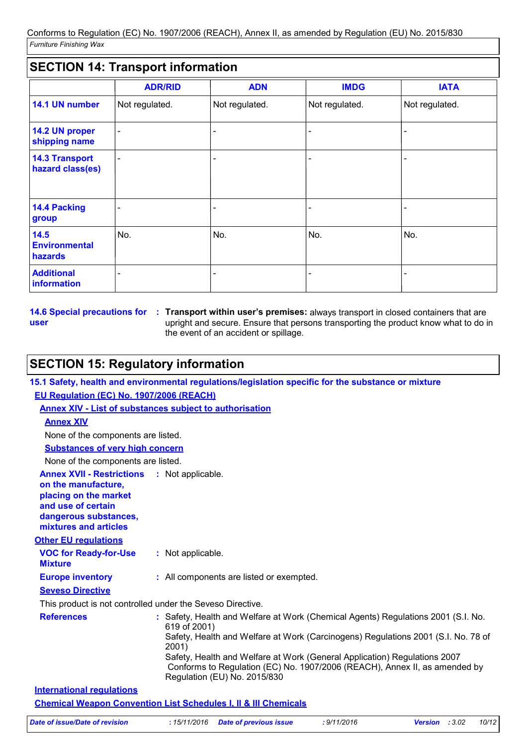## **SECTION 14: Transport information**

|                                           | <b>ADR/RID</b>           | <b>ADN</b>     | <b>IMDG</b>    | <b>IATA</b>    |
|-------------------------------------------|--------------------------|----------------|----------------|----------------|
| 14.1 UN number                            | Not regulated.           | Not regulated. | Not regulated. | Not regulated. |
| 14.2 UN proper<br>shipping name           | $\overline{\phantom{0}}$ |                |                |                |
| <b>14.3 Transport</b><br>hazard class(es) | $\overline{\phantom{0}}$ |                |                |                |
| 14.4 Packing<br>group                     |                          |                |                |                |
| 14.5<br><b>Environmental</b><br>hazards   | No.                      | No.            | No.            | No.            |
| <b>Additional</b><br>information          |                          |                |                |                |

**user**

**14.6 Special precautions for : Transport within user's premises: always transport in closed containers that are** upright and secure. Ensure that persons transporting the product know what to do in the event of an accident or spillage.

# **SECTION 15: Regulatory information**

**VOC for Ready-for-Use Mixture :** Not applicable. **15.1 Safety, health and environmental regulations/legislation specific for the substance or mixture Other EU regulations Annex XVII - Restrictions on the manufacture, placing on the market and use of certain dangerous substances, mixtures and articles** : Not applicable. **Europe inventory :** All components are listed or exempted. **International regulations References : EU Regulation (EC) No. 1907/2006 (REACH) Annex XIV - List of substances subject to authorisation Annex XIV Substances of very high concern** None of the components are listed. None of the components are listed. **Seveso Directive** This product is not controlled under the Seveso Directive. **Chemical Weapon Convention List Schedules I, II & III Chemicals** Safety, Health and Welfare at Work (Chemical Agents) Regulations 2001 (S.I. No. 619 of 2001) Safety, Health and Welfare at Work (Carcinogens) Regulations 2001 (S.I. No. 78 of 2001) Safety, Health and Welfare at Work (General Application) Regulations 2007 Conforms to Regulation (EC) No. 1907/2006 (REACH), Annex II, as amended by Regulation (EU) No. 2015/830 *Date of issue/Date of revision* **:** *15/11/2016 Date of previous issue : 9/11/2016 Version : 3.02 10/12*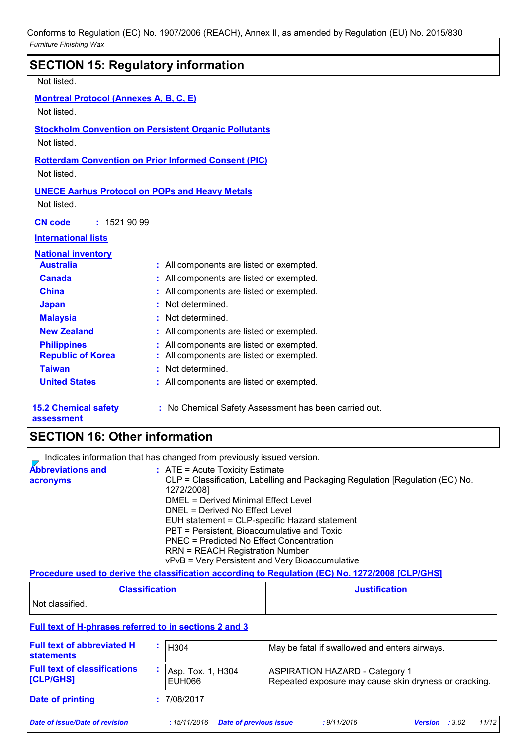| <b>SECTION 15: Regulatory information</b>                              |                                                                                             |  |  |  |
|------------------------------------------------------------------------|---------------------------------------------------------------------------------------------|--|--|--|
| Not listed.                                                            |                                                                                             |  |  |  |
| <b>Montreal Protocol (Annexes A, B, C, E)</b>                          |                                                                                             |  |  |  |
| Not listed.                                                            |                                                                                             |  |  |  |
|                                                                        | <b>Stockholm Convention on Persistent Organic Pollutants</b>                                |  |  |  |
| Not listed.                                                            |                                                                                             |  |  |  |
|                                                                        | <b>Rotterdam Convention on Prior Informed Consent (PIC)</b>                                 |  |  |  |
| Not listed.                                                            |                                                                                             |  |  |  |
|                                                                        | <b>UNECE Aarhus Protocol on POPs and Heavy Metals</b>                                       |  |  |  |
| Not listed.                                                            |                                                                                             |  |  |  |
| : 1521 90 99<br><b>CN</b> code                                         |                                                                                             |  |  |  |
| <b>International lists</b>                                             |                                                                                             |  |  |  |
| <b>National inventory</b>                                              |                                                                                             |  |  |  |
| <b>Australia</b>                                                       | : All components are listed or exempted.                                                    |  |  |  |
| <b>Canada</b>                                                          | All components are listed or exempted.                                                      |  |  |  |
| <b>China</b>                                                           | All components are listed or exempted.                                                      |  |  |  |
| <b>Japan</b>                                                           | Not determined.                                                                             |  |  |  |
| <b>Malaysia</b>                                                        | Not determined.                                                                             |  |  |  |
| <b>New Zealand</b>                                                     | All components are listed or exempted.                                                      |  |  |  |
| <b>Philippines</b>                                                     | All components are listed or exempted.                                                      |  |  |  |
| <b>Republic of Korea</b>                                               | All components are listed or exempted.                                                      |  |  |  |
| <b>Taiwan</b>                                                          | Not determined.                                                                             |  |  |  |
| <b>United States</b>                                                   | All components are listed or exempted.                                                      |  |  |  |
| <b>15.2 Chemical safety</b><br>assessment                              | : No Chemical Safety Assessment has been carried out.                                       |  |  |  |
| <b>SECTION 16: Other information</b>                                   |                                                                                             |  |  |  |
| Indicates information that has changed from previously issued version. |                                                                                             |  |  |  |
| <b>Abbreviations and</b>                                               | : ATE = Acute Toxicity Estimate                                                             |  |  |  |
| acronyms                                                               | CLP = Classification, Labelling and Packaging Regulation [Regulation (EC) No.<br>1272/2008] |  |  |  |

#### **Full text of H-phrases referred to in sections 2 and 3**

Not classified.

| <b>Full text of abbreviated H</b><br><b>statements</b> | H <sub>304</sub>            |                               | May be fatal if swallowed and enters airways.                                                  |                         |       |
|--------------------------------------------------------|-----------------------------|-------------------------------|------------------------------------------------------------------------------------------------|-------------------------|-------|
| <b>Full text of classifications</b><br>[CLP/GHS]       | Asp. Tox. 1, H304<br>EUH066 |                               | <b>ASPIRATION HAZARD - Category 1</b><br>Repeated exposure may cause skin dryness or cracking. |                         |       |
| Date of printing                                       | : 7/08/2017                 |                               |                                                                                                |                         |       |
| Date of issue/Date of revision                         | :15/11/2016                 | <b>Date of previous issue</b> | : 9/11/2016                                                                                    | <b>Version</b> : $3.02$ | 11/12 |

DMEL = Derived Minimal Effect Level DNEL = Derived No Effect Level

**Procedure used to derive the classification according to Regulation (EC) No. 1272/2008 [CLP/GHS]**

EUH statement = CLP-specific Hazard statement PBT = Persistent, Bioaccumulative and Toxic PNEC = Predicted No Effect Concentration RRN = REACH Registration Number

vPvB = Very Persistent and Very Bioaccumulative

**Classification Justification**